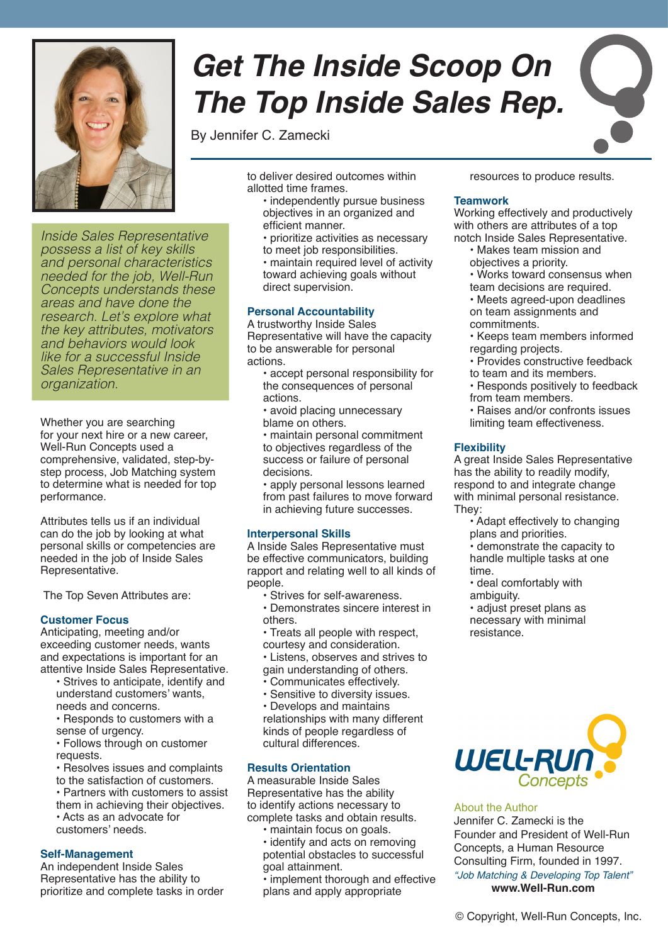

*Inside Sales Representative possess a list of key skills and personal characteristics needed for the job, Well-Run Concepts understands these areas and have done the research. Let's explore what the key attributes, motivators and behaviors would look like for a successful Inside Sales Representative in an organization.*

Whether you are searching for your next hire or a new career, Well-Run Concepts used a comprehensive, validated, step-bystep process, Job Matching system to determine what is needed for top performance.

Attributes tells us if an individual can do the job by looking at what personal skills or competencies are needed in the job of Inside Sales Representative.

The Top Seven Attributes are:

#### **Customer Focus**

Anticipating, meeting and/or exceeding customer needs, wants and expectations is important for an attentive Inside Sales Representative.

- Strives to anticipate, identify and understand customers' wants, needs and concerns.
- Responds to customers with a sense of urgency.
- Follows through on customer requests.
- Resolves issues and complaints to the satisfaction of customers.
- Partners with customers to assist
- them in achieving their objectives. • Acts as an advocate for
- customers' needs.

#### **Self-Management**

An independent Inside Sales Representative has the ability to prioritize and complete tasks in order

# *Get The Inside Scoop On The Top Inside Sales Rep.*

By Jennifer C. Zamecki

to deliver desired outcomes within allotted time frames.

- independently pursue business objectives in an organized and efficient manner.
- prioritize activities as necessary to meet job responsibilities.

• maintain required level of activity toward achieving goals without direct supervision.

#### **Personal Accountability**

A trustworthy Inside Sales Representative will have the capacity to be answerable for personal actions.

- accept personal responsibility for the consequences of personal actions.
- avoid placing unnecessary blame on others.
- maintain personal commitment to objectives regardless of the success or failure of personal decisions.

• apply personal lessons learned from past failures to move forward in achieving future successes.

#### **Interpersonal Skills**

A Inside Sales Representative must be effective communicators, building rapport and relating well to all kinds of people.

- Strives for self-awareness.
- Demonstrates sincere interest in others.
- Treats all people with respect,
- courtesy and consideration.

• Listens, observes and strives to gain understanding of others.

- Communicates effectively.
- Sensitive to diversity issues.
- Develops and maintains

relationships with many different kinds of people regardless of cultural differences.

#### **Results Orientation**

A measurable Inside Sales Representative has the ability to identify actions necessary to complete tasks and obtain results.

- maintain focus on goals.
- identify and acts on removing potential obstacles to successful goal attainment.

• implement thorough and effective plans and apply appropriate

resources to produce results.

#### **Teamwork**

Working effectively and productively with others are attributes of a top notch Inside Sales Representative.

- Makes team mission and objectives a priority.
- Works toward consensus when
- team decisions are required. • Meets agreed-upon deadlines
- on team assignments and commitments.
- Keeps team members informed regarding projects.
- Provides constructive feedback
- to team and its members. • Responds positively to feedback from team members.
- Raises and/or confronts issues limiting team effectiveness.

## **Flexibility**

A great Inside Sales Representative has the ability to readily modify, respond to and integrate change with minimal personal resistance. They:

- Adapt effectively to changing plans and priorities.
- demonstrate the capacity to handle multiple tasks at one time.
- deal comfortably with ambiguity.

• adjust preset plans as necessary with minimal resistance.



#### About the Author

Jennifer C. Zamecki is the Founder and President of Well-Run Concepts, a Human Resource Consulting Firm, founded in 1997. *"Job Matching & Developing Top Talent"* **www.Well-Run.com**